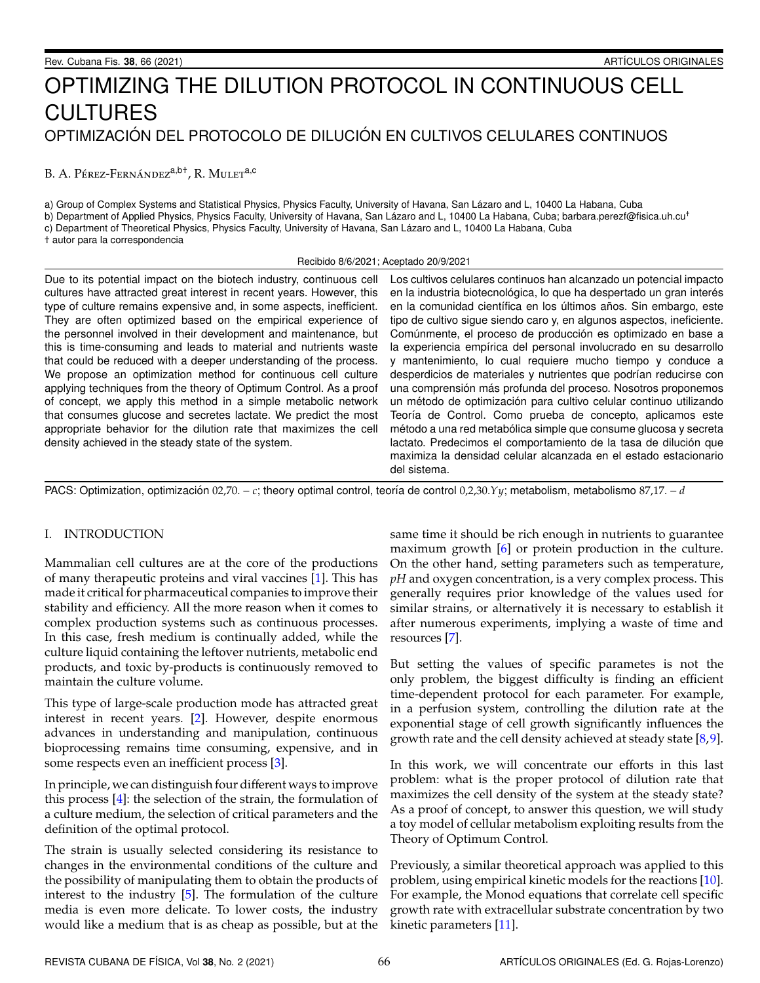# OPTIMIZING THE DILUTION PROTOCOL IN CONTINUOUS CELL CULTURES OPTIMIZACIÓN DEL PROTOCOLO DE DILUCIÓN EN CULTIVOS CELULARES CONTINUOS

B. A. Pérez-Fernández<sup>a,b†</sup>, R. Mulet<sup>a,c</sup>

a) Group of Complex Systems and Statistical Physics, Physics Faculty, University of Havana, San Lázaro and L, 10400 La Habana, Cuba b) Department of Applied Physics, Physics Faculty, University of Havana, San Lázaro and L, 10400 La Habana, Cuba; barbara.perezf@fisica.uh.cu<sup>+</sup> c) Department of Theoretical Physics, Physics Faculty, University of Havana, San Lazaro and L, 10400 La Habana, Cuba ´ † autor para la correspondencia

Recibido 8/6/2021; Aceptado 20/9/2021

Due to its potential impact on the biotech industry, continuous cell cultures have attracted great interest in recent years. However, this type of culture remains expensive and, in some aspects, inefficient. They are often optimized based on the empirical experience of the personnel involved in their development and maintenance, but this is time-consuming and leads to material and nutrients waste that could be reduced with a deeper understanding of the process. We propose an optimization method for continuous cell culture applying techniques from the theory of Optimum Control. As a proof of concept, we apply this method in a simple metabolic network that consumes glucose and secretes lactate. We predict the most appropriate behavior for the dilution rate that maximizes the cell density achieved in the steady state of the system.

Los cultivos celulares continuos han alcanzado un potencial impacto en la industria biotecnológica, lo que ha despertado un gran interés en la comunidad científica en los últimos años. Sin embargo, este tipo de cultivo sigue siendo caro y, en algunos aspectos, ineficiente. Comúnmente, el proceso de producción es optimizado en base a la experiencia empírica del personal involucrado en su desarrollo y mantenimiento, lo cual requiere mucho tiempo y conduce a desperdicios de materiales y nutrientes que podrían reducirse con una comprensión más profunda del proceso. Nosotros proponemos un método de optimización para cultivo celular continuo utilizando Teoría de Control. Como prueba de concepto, aplicamos este método a una red metabólica simple que consume glucosa y secreta lactato. Predecimos el comportamiento de la tasa de dilución que maximiza la densidad celular alcanzada en el estado estacionario del sistema.

PACS: Optimization, optimización 02,70. – *c*; theory optimal control, teoría de control 0,2,30.*Yy*; metabolism, metabolismo 87,17. – *d* 

# I. INTRODUCTION

Mammalian cell cultures are at the core of the productions of many therapeutic proteins and viral vaccines [\[1\]](#page-9-0). This has made it critical for pharmaceutical companies to improve their stability and efficiency. All the more reason when it comes to complex production systems such as continuous processes. In this case, fresh medium is continually added, while the culture liquid containing the leftover nutrients, metabolic end products, and toxic by-products is continuously removed to maintain the culture volume.

This type of large-scale production mode has attracted great interest in recent years. [\[2\]](#page-9-1). However, despite enormous advances in understanding and manipulation, continuous bioprocessing remains time consuming, expensive, and in some respects even an inefficient process [\[3\]](#page-9-2).

In principle, we can distinguish four different ways to improve this process [\[4\]](#page-9-3): the selection of the strain, the formulation of a culture medium, the selection of critical parameters and the definition of the optimal protocol.

The strain is usually selected considering its resistance to changes in the environmental conditions of the culture and the possibility of manipulating them to obtain the products of interest to the industry [\[5\]](#page-9-4). The formulation of the culture media is even more delicate. To lower costs, the industry would like a medium that is as cheap as possible, but at the

same time it should be rich enough in nutrients to guarantee maximum growth [\[6\]](#page-9-5) or protein production in the culture. On the other hand, setting parameters such as temperature, *pH* and oxygen concentration, is a very complex process. This generally requires prior knowledge of the values used for similar strains, or alternatively it is necessary to establish it after numerous experiments, implying a waste of time and resources [\[7\]](#page-9-6).

But setting the values of specific parametes is not the only problem, the biggest difficulty is finding an efficient time-dependent protocol for each parameter. For example, in a perfusion system, controlling the dilution rate at the exponential stage of cell growth significantly influences the growth rate and the cell density achieved at steady state  $[8,9]$  $[8,9]$ .

In this work, we will concentrate our efforts in this last problem: what is the proper protocol of dilution rate that maximizes the cell density of the system at the steady state? As a proof of concept, to answer this question, we will study a toy model of cellular metabolism exploiting results from the Theory of Optimum Control.

Previously, a similar theoretical approach was applied to this problem, using empirical kinetic models for the reactions [\[10\]](#page-9-9). For example, the Monod equations that correlate cell specific growth rate with extracellular substrate concentration by two kinetic parameters [\[11\]](#page-9-10).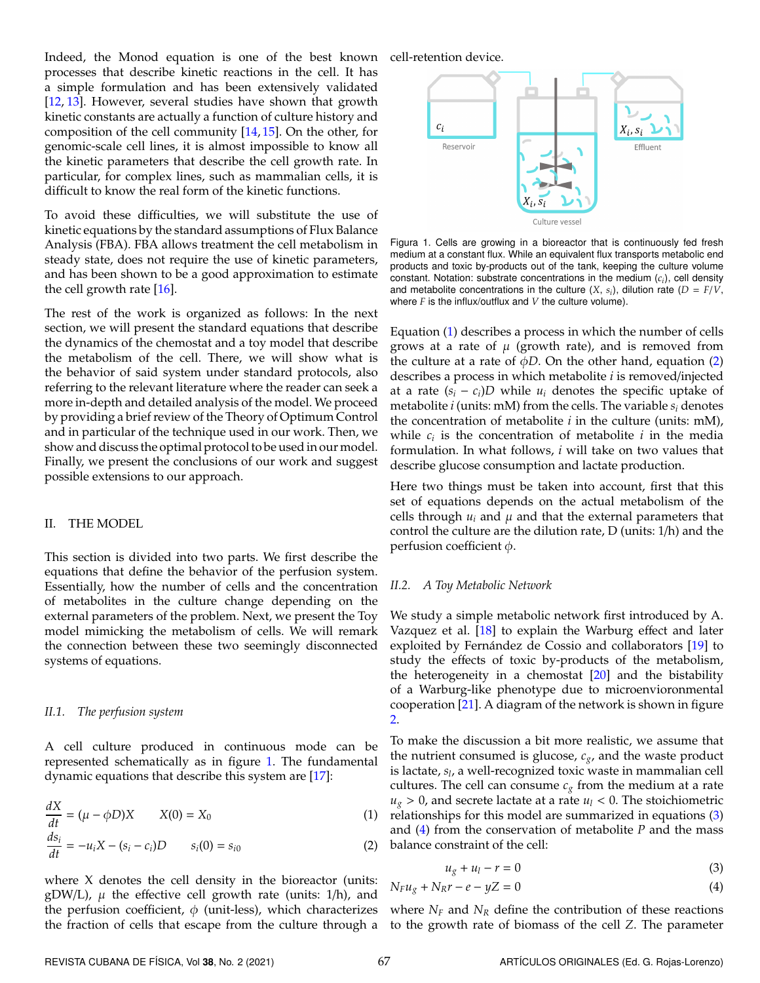Indeed, the Monod equation is one of the best known processes that describe kinetic reactions in the cell. It has a simple formulation and has been extensively validated [\[12,](#page-9-11) [13\]](#page-9-12). However, several studies have shown that growth kinetic constants are actually a function of culture history and composition of the cell community [\[14,](#page-9-13) [15\]](#page-9-14). On the other, for genomic-scale cell lines, it is almost impossible to know all the kinetic parameters that describe the cell growth rate. In particular, for complex lines, such as mammalian cells, it is difficult to know the real form of the kinetic functions.

To avoid these difficulties, we will substitute the use of kinetic equations by the standard assumptions of Flux Balance Analysis (FBA). FBA allows treatment the cell metabolism in steady state, does not require the use of kinetic parameters, and has been shown to be a good approximation to estimate the cell growth rate [\[16\]](#page-9-15).

The rest of the work is organized as follows: In the next section, we will present the standard equations that describe the dynamics of the chemostat and a toy model that describe the metabolism of the cell. There, we will show what is the behavior of said system under standard protocols, also referring to the relevant literature where the reader can seek a more in-depth and detailed analysis of the model. We proceed by providing a brief review of the Theory of Optimum Control and in particular of the technique used in our work. Then, we show and discuss the optimal protocol to be used in our model. Finally, we present the conclusions of our work and suggest possible extensions to our approach.

#### II. THE MODEL

This section is divided into two parts. We first describe the equations that define the behavior of the perfusion system. Essentially, how the number of cells and the concentration of metabolites in the culture change depending on the external parameters of the problem. Next, we present the Toy model mimicking the metabolism of cells. We will remark the connection between these two seemingly disconnected systems of equations.

#### *II.1. The perfusion system*

A cell culture produced in continuous mode can be represented schematically as in figure [1.](#page-1-0) The fundamental dynamic equations that describe this system are [\[17\]](#page-9-16):

$$
\frac{dX}{dt} = (\mu - \phi D)X \qquad X(0) = X_0 \tag{1}
$$

$$
\frac{ds_i}{dt} = -u_i X - (s_i - c_i)D \qquad s_i(0) = s_{i0}
$$
 (2)

where X denotes the cell density in the bioreactor (units:  $gDW/L$ ),  $\mu$  the effective cell growth rate (units: 1/h), and the perfusion coefficient,  $\phi$  (unit-less), which characterizes the fraction of cells that escape from the culture through a

<span id="page-1-0"></span>cell-retention device.



Figura 1. Cells are growing in a bioreactor that is continuously fed fresh medium at a constant flux. While an equivalent flux transports metabolic end products and toxic by-products out of the tank, keeping the culture volume constant. Notation: substrate concentrations in the medium (*c<sup>i</sup>* ), cell density and metabolite concentrations in the culture  $(X, s<sub>i</sub>)$ , dilution rate  $(D = F/V)$ , where *F* is the influx/outflux and *V* the culture volume).

Equation [\(1\)](#page-1-1) describes a process in which the number of cells grows at a rate of  $\mu$  (growth rate), and is removed from the culture at a rate of  $\phi D$ . On the other hand, equation [\(2\)](#page-1-2) describes a process in which metabolite *i* is removed/injected at a rate  $(s_i - c_i)D$  while  $u_i$  denotes the specific uptake of metabolite *i* (units: mM) from the cells. The variable *s<sup>i</sup>* denotes the concentration of metabolite *i* in the culture (units: mM), while  $c_i$  is the concentration of metabolite  $i$  in the media formulation. In what follows, *i* will take on two values that describe glucose consumption and lactate production.

Here two things must be taken into account, first that this set of equations depends on the actual metabolism of the cells through  $u_i$  and  $\mu$  and that the external parameters that control the culture are the dilution rate, D (units: 1/h) and the perfusion coefficient  $\phi$ .

## *II.2. A Toy Metabolic Network*

We study a simple metabolic network first introduced by A. Vazquez et al. [\[18\]](#page-9-17) to explain the Warburg effect and later exploited by Fernández de Cossio and collaborators [[19\]](#page-9-18) to study the effects of toxic by-products of the metabolism, the heterogeneity in a chemostat  $[20]$  and the bistability of a Warburg-like phenotype due to microenvioronmental cooperation  $[21]$ . A diagram of the network is shown in figure [2.](#page-2-0)

<span id="page-1-1"></span>To make the discussion a bit more realistic, we assume that the nutrient consumed is glucose, *cg*, and the waste product is lactate, *s<sup>l</sup>* , a well-recognized toxic waste in mammalian cell cultures. The cell can consume  $c<sub>g</sub>$  from the medium at a rate  $u_g > 0$ , and secrete lactate at a rate  $u_l < 0$ . The stoichiometric relationships for this model are summarized in equations [\(3\)](#page-1-3) and [\(4\)](#page-1-4) from the conservation of metabolite *P* and the mass balance constraint of the cell:

<span id="page-1-4"></span><span id="page-1-3"></span>
$$
u_g + u_l - r = 0 \tag{3}
$$

<span id="page-1-2"></span>
$$
N_F u_g + N_R r - e - yZ = 0 \tag{4}
$$

where  $N_F$  and  $N_R$  define the contribution of these reactions to the growth rate of biomass of the cell *Z*. The parameter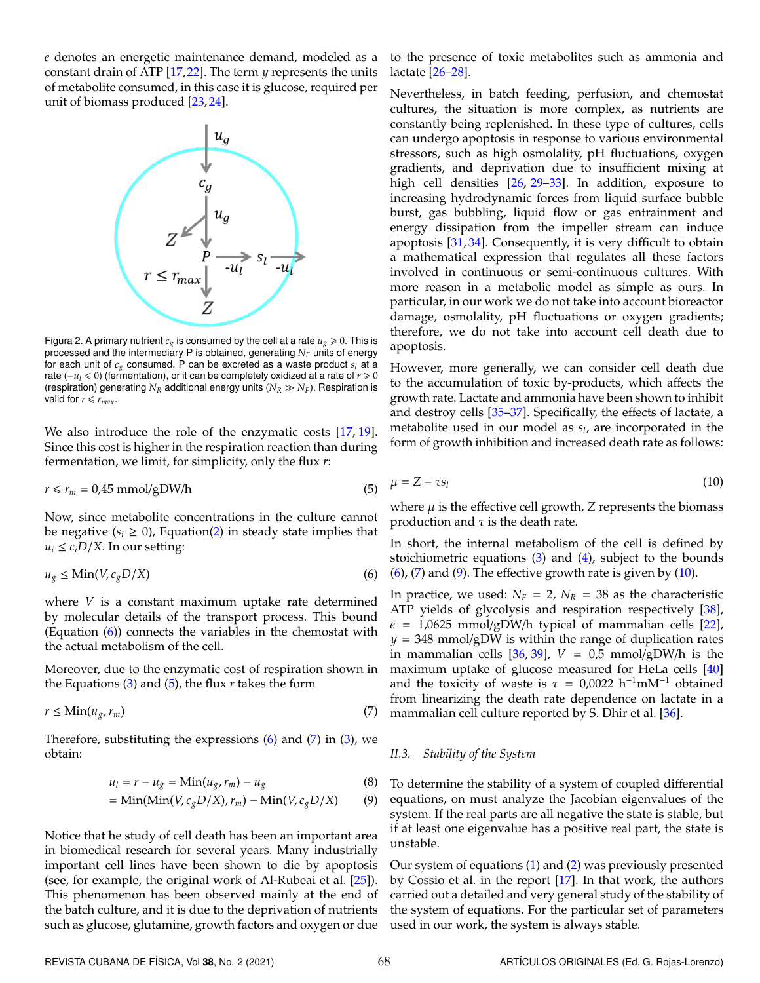<span id="page-2-0"></span>*e* denotes an energetic maintenance demand, modeled as a constant drain of ATP [\[17,](#page-9-16)[22\]](#page-9-21). The term *y* represents the units of metabolite consumed, in this case it is glucose, required per unit of biomass produced [\[23,](#page-9-22) [24\]](#page-9-23).



Figura 2. A primary nutrient  $c_g$  is consumed by the cell at a rate  $u_g \ge 0$ . This is processed and the intermediary P is obtained, generating *N<sup>F</sup>* units of energy for each unit of *c<sup>g</sup>* consumed. P can be excreted as a waste product *s<sup>l</sup>* at a rate ( $-u$ <sup>*l*</sup> ≤ 0) (fermentation), or it can be completely oxidized at a rate of  $r ≥ 0$ (respiration) generating  $N_R$  additional energy units  $(N_R \gg N_F)$ . Respiration is valid for  $r \leq r_{max}$ .

We also introduce the role of the enzymatic costs [\[17,](#page-9-16) [19\]](#page-9-18). Since this cost is higher in the respiration reaction than during fermentation, we limit, for simplicity, only the flux *r*:

$$
r \le r_m = 0.45 \text{ mmol/gDW/h}
$$
 (5)

<span id="page-2-1"></span>Now, since metabolite concentrations in the culture cannot be negative  $(s_i \geq 0)$ , Equation[\(2\)](#page-1-2) in steady state implies that  $u_i \leq c_i D/X$ . In our setting:

$$
u_g \le \text{Min}(V, c_g D / X) \tag{6}
$$

where *V* is a constant maximum uptake rate determined by molecular details of the transport process. This bound (Equation [\(6\)](#page-2-1)) connects the variables in the chemostat with the actual metabolism of the cell.

Moreover, due to the enzymatic cost of respiration shown in the Equations [\(3\)](#page-1-3) and [\(5\)](#page-2-2), the flux *r* takes the form

$$
r \le \text{Min}(u_g, r_m) \tag{7}
$$

Therefore, substituting the expressions  $(6)$  and  $(7)$  in  $(3)$ , we obtain:

$$
u_l = r - u_g = \text{Min}(u_g, r_m) - u_g \tag{8}
$$

<span id="page-2-4"></span>
$$
= \text{Min}(\text{Min}(V, c_g D / X), r_m) - \text{Min}(V, c_g D / X) \tag{9}
$$

Notice that he study of cell death has been an important area in biomedical research for several years. Many industrially important cell lines have been shown to die by apoptosis (see, for example, the original work of Al-Rubeai et al. [\[25\]](#page-9-24)). This phenomenon has been observed mainly at the end of the batch culture, and it is due to the deprivation of nutrients such as glucose, glutamine, growth factors and oxygen or due to the presence of toxic metabolites such as ammonia and lactate [\[26–](#page-9-25)[28\]](#page-9-26).

Nevertheless, in batch feeding, perfusion, and chemostat cultures, the situation is more complex, as nutrients are constantly being replenished. In these type of cultures, cells can undergo apoptosis in response to various environmental stressors, such as high osmolality, pH fluctuations, oxygen gradients, and deprivation due to insufficient mixing at high cell densities [\[26,](#page-9-25) [29–](#page-9-27)[33\]](#page-9-28). In addition, exposure to increasing hydrodynamic forces from liquid surface bubble burst, gas bubbling, liquid flow or gas entrainment and energy dissipation from the impeller stream can induce apoptosis [\[31,](#page-9-29) [34\]](#page-9-30). Consequently, it is very difficult to obtain a mathematical expression that regulates all these factors involved in continuous or semi-continuous cultures. With more reason in a metabolic model as simple as ours. In particular, in our work we do not take into account bioreactor damage, osmolality, pH fluctuations or oxygen gradients; therefore, we do not take into account cell death due to apoptosis.

However, more generally, we can consider cell death due to the accumulation of toxic by-products, which affects the growth rate. Lactate and ammonia have been shown to inhibit and destroy cells [\[35](#page-9-31)[–37\]](#page-9-32). Specifically, the effects of lactate, a metabolite used in our model as *s<sup>l</sup>* , are incorporated in the form of growth inhibition and increased death rate as follows:

<span id="page-2-5"></span><span id="page-2-2"></span>
$$
\mu = Z - \tau s_l \tag{10}
$$

where  $\mu$  is the effective cell growth,  $Z$  represents the biomass production and  $\tau$  is the death rate.

In short, the internal metabolism of the cell is defined by stoichiometric equations  $(3)$  and  $(4)$ , subject to the bounds  $(6)$ ,  $(7)$  and  $(9)$ . The effective growth rate is given by  $(10)$ .

In practice, we used:  $N_F = 2$ ,  $N_R = 38$  as the characteristic ATP yields of glycolysis and respiration respectively [\[38\]](#page-9-33),  $e = 1,0625$  mmol/gDW/h typical of mammalian cells [\[22\]](#page-9-21), *y* = 348 mmol/gDW is within the range of duplication rates in mammalian cells  $[36, 39]$  $[36, 39]$  $[36, 39]$ ,  $V = 0.5$  mmol/gDW/h is the maximum uptake of glucose measured for HeLa cells [\[40\]](#page-10-1) and the toxicity of waste is  $\tau = 0.0022$  h<sup>-1</sup>mM<sup>-1</sup> obtained from linearizing the death rate dependence on lactate in a mammalian cell culture reported by S. Dhir et al. [\[36\]](#page-9-34).

## <span id="page-2-3"></span>*II.3. Stability of the System*

To determine the stability of a system of coupled differential equations, on must analyze the Jacobian eigenvalues of the system. If the real parts are all negative the state is stable, but if at least one eigenvalue has a positive real part, the state is unstable.

Our system of equations [\(1\)](#page-1-1) and [\(2\)](#page-1-2) was previously presented by Cossio et al. in the report [\[17\]](#page-9-16). In that work, the authors carried out a detailed and very general study of the stability of the system of equations. For the particular set of parameters used in our work, the system is always stable.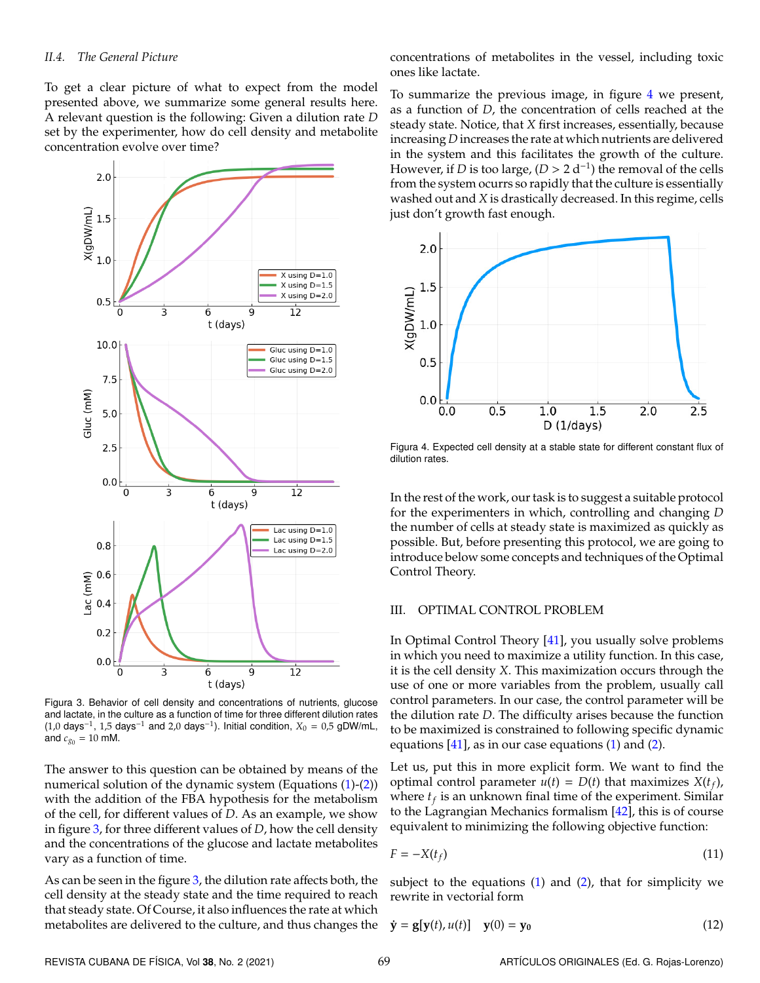To get a clear picture of what to expect from the model presented above, we summarize some general results here. A relevant question is the following: Given a dilution rate *D* set by the experimenter, how do cell density and metabolite concentration evolve over time?

<span id="page-3-0"></span>

Figura 3. Behavior of cell density and concentrations of nutrients, glucose and lactate, in the culture as a function of time for three different dilution rates (1,0 days<sup>-1</sup>, 1,5 days<sup>-1</sup> and 2,0 days<sup>-1</sup>). Initial condition,  $X_0 = 0.5$  gDW/mL, and  $c_{g_0} = 10 \text{ mM}$ .

The answer to this question can be obtained by means of the numerical solution of the dynamic system (Equations [\(1\)](#page-1-1)-[\(2\)](#page-1-2)) with the addition of the FBA hypothesis for the metabolism of the cell, for different values of *D*. As an example, we show in figure [3,](#page-3-0) for three different values of *D*, how the cell density and the concentrations of the glucose and lactate metabolites vary as a function of time.

As can be seen in the figure  $3$ , the dilution rate affects both, the cell density at the steady state and the time required to reach that steady state. Of Course, it also influences the rate at which metabolites are delivered to the culture, and thus changes the concentrations of metabolites in the vessel, including toxic ones like lactate.

To summarize the previous image, in figure [4](#page-3-1) we present, as a function of *D*, the concentration of cells reached at the steady state. Notice, that *X* first increases, essentially, because increasing *D* increases the rate at which nutrients are delivered in the system and this facilitates the growth of the culture. However, if *D* is too large,  $(D > 2 d^{-1})$  the removal of the cells from the system ocurrs so rapidly that the culture is essentially washed out and *X* is drastically decreased. In this regime, cells just don't growth fast enough.

<span id="page-3-1"></span>

Figura 4. Expected cell density at a stable state for different constant flux of dilution rates.

In the rest of the work, our task is to suggest a suitable protocol for the experimenters in which, controlling and changing *D* the number of cells at steady state is maximized as quickly as possible. But, before presenting this protocol, we are going to introduce below some concepts and techniques of the Optimal Control Theory.

## III. OPTIMAL CONTROL PROBLEM

In Optimal Control Theory [\[41\]](#page-10-2), you usually solve problems in which you need to maximize a utility function. In this case, it is the cell density *X*. This maximization occurs through the use of one or more variables from the problem, usually call control parameters. In our case, the control parameter will be the dilution rate *D*. The difficulty arises because the function to be maximized is constrained to following specific dynamic equations  $[41]$ , as in our case equations  $(1)$  and  $(2)$ .

Let us, put this in more explicit form. We want to find the optimal control parameter  $u(t) = D(t)$  that maximizes  $X(t_f)$ , where *t<sup>f</sup>* is an unknown final time of the experiment. Similar to the Lagrangian Mechanics formalism [\[42\]](#page-10-3), this is of course equivalent to minimizing the following objective function:

$$
F = -X(t_f) \tag{11}
$$

subject to the equations  $(1)$  and  $(2)$ , that for simplicity we rewrite in vectorial form

$$
\dot{\mathbf{y}} = \mathbf{g}[\mathbf{y}(t), u(t)] \quad \mathbf{y}(0) = \mathbf{y}_0 \tag{12}
$$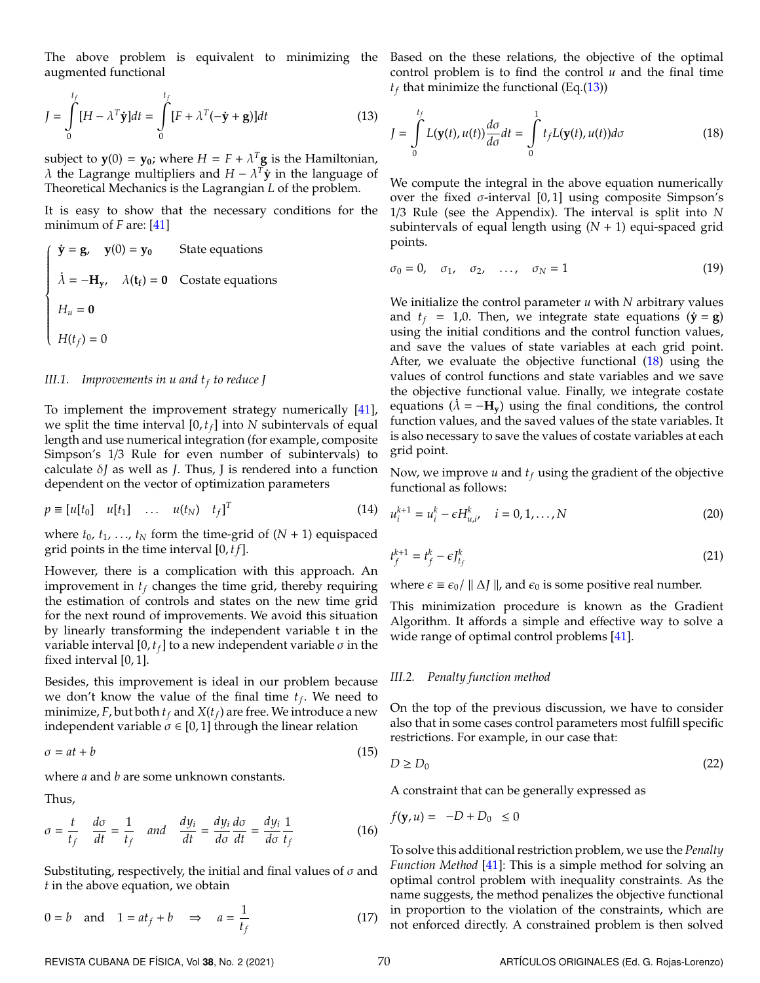<span id="page-4-0"></span>The above problem is equivalent to minimizing the augmented functional

$$
J = \int_{0}^{t_f} [H - \lambda^T \dot{\mathbf{y}}] dt = \int_{0}^{t_f} [F + \lambda^T (-\dot{\mathbf{y}} + \mathbf{g})] dt
$$
(13)

subject to  $y(0) = y_0$ ; where  $H = F + \lambda^T g$  is the Hamiltonian,  $λ$  the Lagrange multipliers and  $H - λ<sup>T</sup>$ **j** in the language of Theoretical Mechanics is the Lagrangian *L* of the problem.

It is easy to show that the necessary conditions for the minimum of *F* are: [\[41\]](#page-10-2)

$$
\begin{cases}\n\dot{\mathbf{y}} = \mathbf{g}, \quad \mathbf{y}(0) = \mathbf{y}_0 & \text{State equations} \\
\dot{\lambda} = -\mathbf{H}_{\mathbf{y}}, \quad \lambda(\mathbf{t}_{\mathbf{f}}) = \mathbf{0} & \text{Costate equations} \\
H_u = \mathbf{0} \\
H(t_f) = 0\n\end{cases}
$$

#### *III.1. Improvements in u and t<sup>f</sup> to reduce J*

To implement the improvement strategy numerically [\[41\]](#page-10-2), we split the time interval [0, *tf*] into *N* subintervals of equal length and use numerical integration (for example, composite Simpson's 1/3 Rule for even number of subintervals) to calculate δ*J* as well as *J*. Thus, J is rendered into a function dependent on the vector of optimization parameters

$$
p \equiv [u[t_0] \quad u[t_1] \quad \dots \quad u(t_N) \quad t_f]^T \tag{14}
$$

where  $t_0$ ,  $t_1$ , ...,  $t_N$  form the time-grid of  $(N + 1)$  equispaced grid points in the time interval [0, *t f*].

However, there is a complication with this approach. An improvement in  $t_f$  changes the time grid, thereby requiring the estimation of controls and states on the new time grid for the next round of improvements. We avoid this situation by linearly transforming the independent variable t in the variable interval [0,  $t_f$ ] to a new independent variable  $\sigma$  in the fixed interval [0, 1].

Besides, this improvement is ideal in our problem because we don't know the value of the final time *t<sup>f</sup>* . We need to minimize, *F*, but both  $t_f$  and  $X(t_f)$  are free. We introduce a new independent variable  $\sigma \in [0,1]$  through the linear relation

$$
\sigma = at + b \tag{15}
$$

where *a* and *b* are some unknown constants.

Thus,

$$
\sigma = \frac{t}{t_f} \quad \frac{d\sigma}{dt} = \frac{1}{t_f} \quad \text{and} \quad \frac{dy_i}{dt} = \frac{dy_i}{d\sigma} \frac{d\sigma}{dt} = \frac{dy_i}{d\sigma} \frac{1}{t_f} \tag{16}
$$

Substituting, respectively, the initial and final values of  $\sigma$  and *t* in the above equation, we obtain

$$
0 = b \quad \text{and} \quad 1 = at_f + b \quad \Rightarrow \quad a = \frac{1}{t_f} \tag{17}
$$

Based on the these relations, the objective of the optimal control problem is to find the control *u* and the final time  $t_f$  that minimize the functional (Eq.[\(13\)](#page-4-0))

<span id="page-4-1"></span>
$$
J = \int_{0}^{t_f} L(\mathbf{y}(t), u(t)) \frac{d\sigma}{d\sigma} dt = \int_{0}^{1} t_f L(\mathbf{y}(t), u(t)) d\sigma
$$
 (18)

We compute the integral in the above equation numerically over the fixed  $\sigma$ -interval [0,1] using composite Simpson's 1/3 Rule (see the Appendix). The interval is split into *N* subintervals of equal length using (*N* + 1) equi-spaced grid points.

$$
\sigma_0 = 0, \quad \sigma_1, \quad \sigma_2, \quad \dots, \quad \sigma_N = 1 \tag{19}
$$

We initialize the control parameter *u* with *N* arbitrary values and  $t_f = 1,0$ . Then, we integrate state equations  $(\dot{y} = g)$ using the initial conditions and the control function values, and save the values of state variables at each grid point. After, we evaluate the objective functional [\(18\)](#page-4-1) using the values of control functions and state variables and we save the objective functional value. Finally, we integrate costate equations ( $\lambda = -H_y$ ) using the final conditions, the control function values, and the saved values of the state variables. It is also necessary to save the values of costate variables at each grid point.

Now, we improve *u* and *t<sup>f</sup>* using the gradient of the objective functional as follows:

$$
u_i^{k+1} = u_i^k - \epsilon H_{u,i}^k, \quad i = 0, 1, ..., N
$$
 (20)

$$
t_f^{k+1} = t_f^k - \epsilon J_{t_f}^k \tag{21}
$$

where  $\epsilon \equiv \epsilon_0 / \parallel \Delta J \parallel$ , and  $\epsilon_0$  is some positive real number.

This minimization procedure is known as the Gradient Algorithm. It affords a simple and effective way to solve a wide range of optimal control problems [\[41\]](#page-10-2).

## *III.2. Penalty function method*

On the top of the previous discussion, we have to consider also that in some cases control parameters most fulfill specific restrictions. For example, in our case that:

$$
D \ge D_0 \tag{22}
$$

A constraint that can be generally expressed as

$$
f(\mathbf{y}, u) = -D + D_0 \le 0
$$

To solve this additional restriction problem, we use the *Penalty Function Method* [\[41\]](#page-10-2): This is a simple method for solving an optimal control problem with inequality constraints. As the name suggests, the method penalizes the objective functional in proportion to the violation of the constraints, which are not enforced directly. A constrained problem is then solved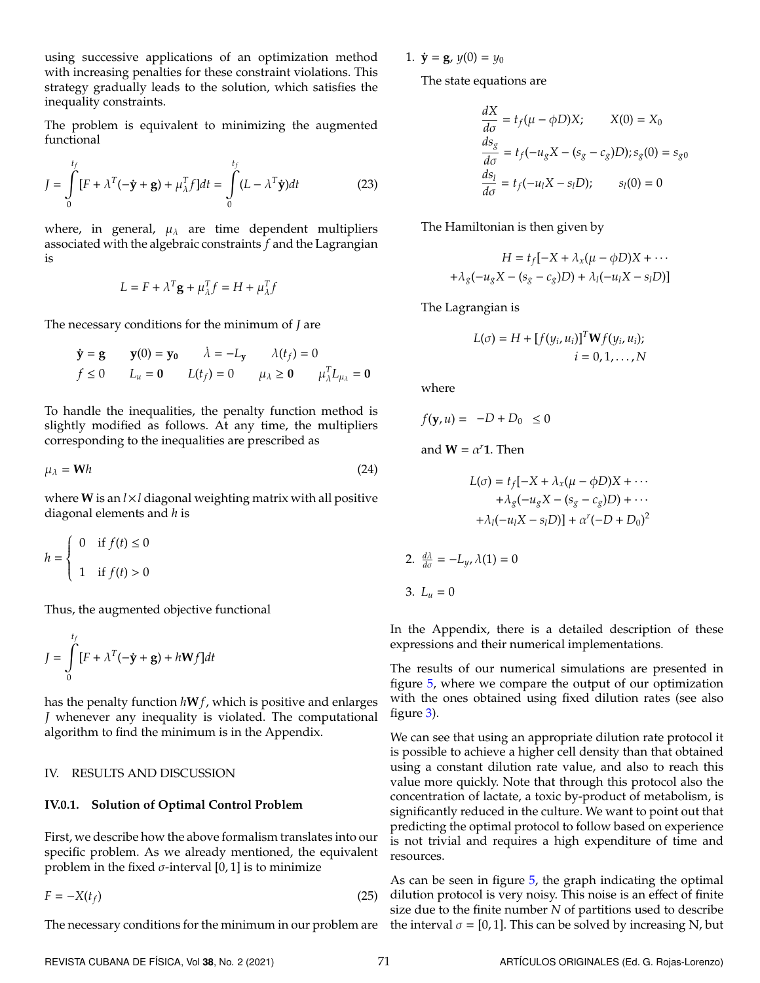using successive applications of an optimization method with increasing penalties for these constraint violations. This strategy gradually leads to the solution, which satisfies the inequality constraints.

The problem is equivalent to minimizing the augmented functional

$$
J = \int_{0}^{t_f} [F + \lambda^T(-\dot{\mathbf{y}} + \mathbf{g}) + \mu_{\lambda}^T f] dt = \int_{0}^{t_f} (L - \lambda^T \dot{\mathbf{y}}) dt
$$
 (23)

where, in general,  $\mu_{\lambda}$  are time dependent multipliers associated with the algebraic constraints *f* and the Lagrangian is

$$
L = F + \lambda^T \mathbf{g} + \mu_{\lambda}^T f = H + \mu_{\lambda}^T f
$$

The necessary conditions for the minimum of *J* are

$$
\dot{\mathbf{y}} = \mathbf{g} \qquad \mathbf{y}(0) = \mathbf{y_0} \qquad \dot{\lambda} = -L_{\mathbf{y}} \qquad \lambda(t_f) = 0
$$
\n
$$
f \le 0 \qquad L_u = \mathbf{0} \qquad L(t_f) = 0 \qquad \mu_{\lambda} \ge \mathbf{0} \qquad \mu_{\lambda}^T L_{\mu_{\lambda}} = \mathbf{0}
$$

To handle the inequalities, the penalty function method is slightly modified as follows. At any time, the multipliers corresponding to the inequalities are prescribed as

$$
\mu_{\lambda} = \mathbf{W}h \tag{24}
$$

where **W** is an *l*×*l* diagonal weighting matrix with all positive diagonal elements and *h* is

$$
h = \begin{cases} 0 & \text{if } f(t) \le 0 \\ 1 & \text{if } f(t) > 0 \end{cases}
$$

Thus, the augmented objective functional

$$
J = \int_{0}^{t_f} [F + \lambda^T(-\dot{\mathbf{y}} + \mathbf{g}) + h\mathbf{W}f] dt
$$

has the penalty function *h***W***f*, which is positive and enlarges *J* whenever any inequality is violated. The computational algorithm to find the minimum is in the Appendix.

## IV. RESULTS AND DISCUSSION

# **IV.0.1. Solution of Optimal Control Problem**

First, we describe how the above formalism translates into our specific problem. As we already mentioned, the equivalent problem in the fixed  $\sigma$ -interval [0, 1] is to minimize

 $F = -X(t_f)$  (25)

1.  $\dot{y} = g$ ,  $y(0) = y_0$ 

The state equations are

$$
\frac{dX}{d\sigma} = t_f(\mu - \phi D)X; \qquad X(0) = X_0
$$
  
\n
$$
\frac{ds_g}{d\sigma} = t_f(-u_g X - (s_g - c_g)D); s_g(0) = s_{g0}
$$
  
\n
$$
\frac{ds_l}{d\sigma} = t_f(-u_l X - s_l D); \qquad s_l(0) = 0
$$

The Hamiltonian is then given by

$$
H = t_f[-X + \lambda_x(\mu - \phi D)X + \cdots
$$

$$
+ \lambda_g(-u_g X - (s_g - c_g)D) + \lambda_l(-u_l X - s_l D)]
$$

The Lagrangian is

$$
L(\sigma) = H + [f(y_i, u_i)]^T \mathbf{W} f(y_i, u_i);
$$
  

$$
i = 0, 1, ..., N
$$

where

$$
f(\mathbf{y}, u) = -D + D_0 \le 0
$$

and  $W = \alpha^r \mathbf{1}$ . Then

$$
L(\sigma) = t_f[-X + \lambda_x(\mu - \phi D)X + \cdots
$$

$$
+ \lambda_g(-u_g X - (s_g - c_g)D) + \cdots
$$

$$
+ \lambda_l(-u_l X - s_l D)] + \alpha^r(-D + D_0)^2
$$

2. 
$$
\frac{d\lambda}{d\sigma} = -L_y, \lambda(1) = 0
$$
  
3. 
$$
L_u = 0
$$

In the Appendix, there is a detailed description of these expressions and their numerical implementations.

The results of our numerical simulations are presented in figure [5,](#page-6-0) where we compare the output of our optimization with the ones obtained using fixed dilution rates (see also figure [3\)](#page-3-0).

We can see that using an appropriate dilution rate protocol it is possible to achieve a higher cell density than that obtained using a constant dilution rate value, and also to reach this value more quickly. Note that through this protocol also the concentration of lactate, a toxic by-product of metabolism, is significantly reduced in the culture. We want to point out that predicting the optimal protocol to follow based on experience is not trivial and requires a high expenditure of time and resources.

The necessary conditions for the minimum in our problem are the interval  $\sigma = [0,1]$ . This can be solved by increasing N, but As can be seen in figure  $5$ , the graph indicating the optimal dilution protocol is very noisy. This noise is an effect of finite size due to the finite number *N* of partitions used to describe

REVISTA CUBANA DE FÍSICA, Vol 38, No. 2 (2021) 71 ARTÍCULOS ORIGINALES (Ed. G. Rojas-Lorenzo)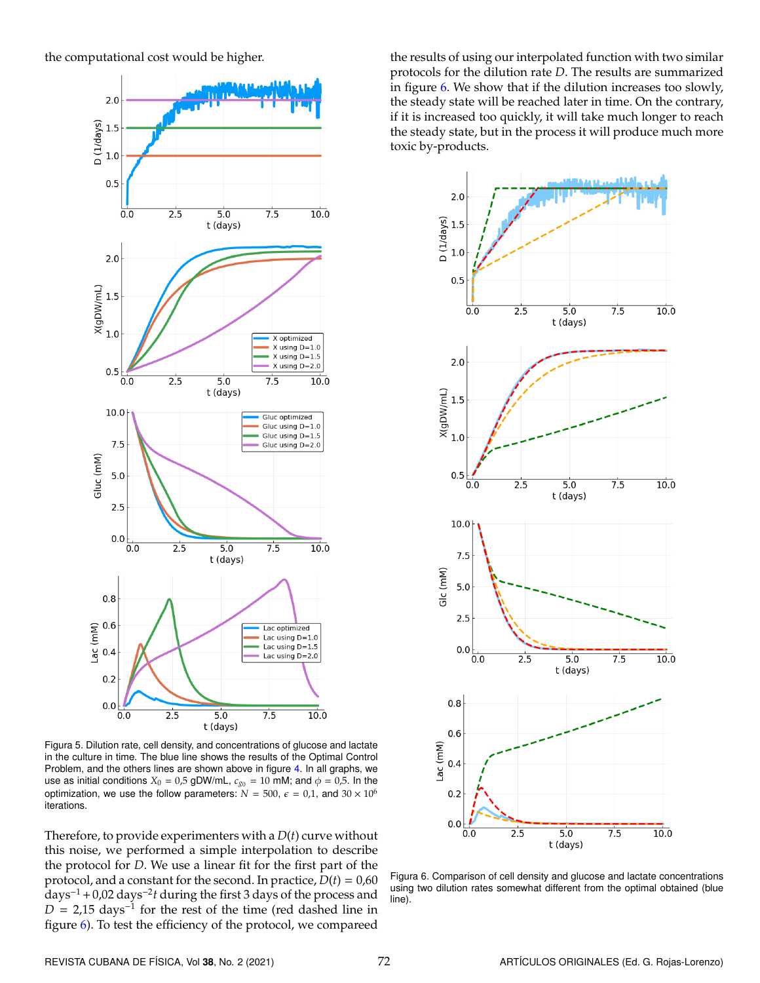<span id="page-6-0"></span>the computational cost would be higher.



Figura 5. Dilution rate, cell density, and concentrations of glucose and lactate in the culture in time. The blue line shows the results of the Optimal Control Problem, and the others lines are shown above in figure [4.](#page-3-1) In all graphs, we use as initial conditions  $X_0 = 0.5$  gDW/mL,  $c_{g_0} = 10$  mM; and  $\phi = 0.5$ . In the optimization, we use the follow parameters:  $N = 500$ ,  $\epsilon = 0.1$ , and  $30 \times 10^6$ iterations.

Therefore, to provide experimenters with a *D*(*t*) curve without this noise, we performed a simple interpolation to describe the protocol for *D*. We use a linear fit for the first part of the protocol, and a constant for the second. In practice,  $D(t) = 0.60$ days<sup>−</sup><sup>1</sup> +0,02 days<sup>−</sup><sup>2</sup> *t* during the first 3 days of the process and  $D = 2.15$  days<sup>-1</sup> for the rest of the time (red dashed line in figure [6\)](#page-6-1). To test the efficiency of the protocol, we compareed

the results of using our interpolated function with two similar protocols for the dilution rate *D*. The results are summarized in figure [6.](#page-6-1) We show that if the dilution increases too slowly, the steady state will be reached later in time. On the contrary, if it is increased too quickly, it will take much longer to reach the steady state, but in the process it will produce much more toxic by-products.

<span id="page-6-1"></span>

Figura 6. Comparison of cell density and glucose and lactate concentrations using two dilution rates somewhat different from the optimal obtained (blue line).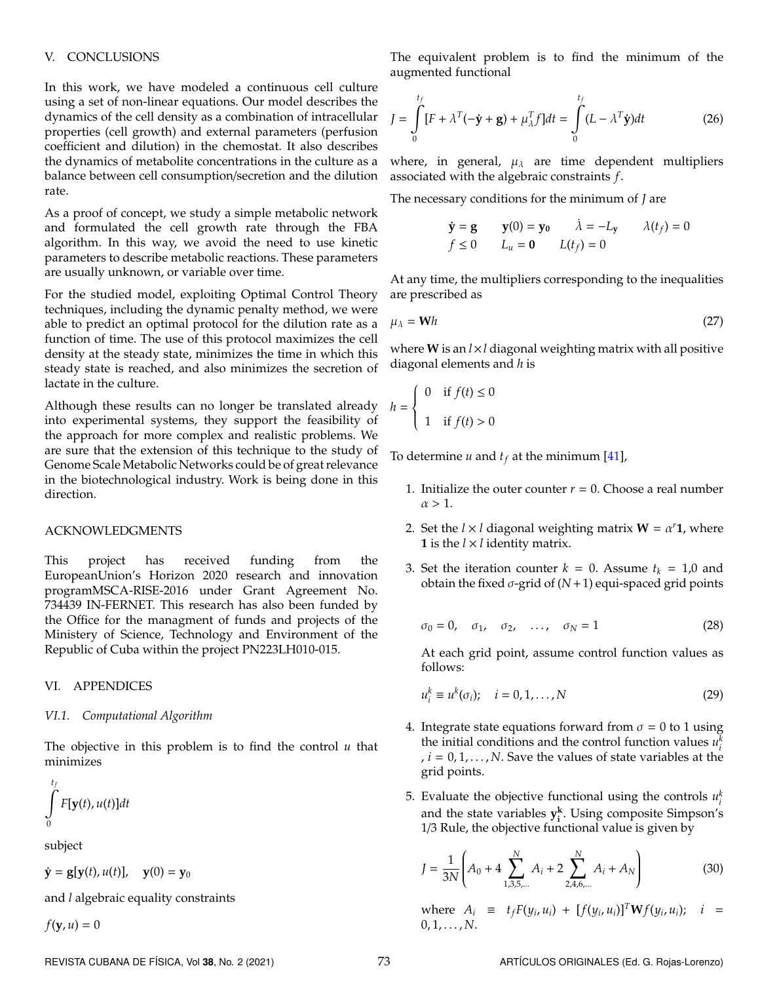## V. CONCLUSIONS

In this work, we have modeled a continuous cell culture using a set of non-linear equations. Our model describes the dynamics of the cell density as a combination of intracellular properties (cell growth) and external parameters (perfusion coefficient and dilution) in the chemostat. It also describes the dynamics of metabolite concentrations in the culture as a balance between cell consumption/secretion and the dilution rate.

As a proof of concept, we study a simple metabolic network and formulated the cell growth rate through the FBA algorithm. In this way, we avoid the need to use kinetic parameters to describe metabolic reactions. These parameters are usually unknown, or variable over time.

For the studied model, exploiting Optimal Control Theory techniques, including the dynamic penalty method, we were able to predict an optimal protocol for the dilution rate as a function of time. The use of this protocol maximizes the cell density at the steady state, minimizes the time in which this steady state is reached, and also minimizes the secretion of lactate in the culture.

Although these results can no longer be translated already into experimental systems, they support the feasibility of the approach for more complex and realistic problems. We are sure that the extension of this technique to the study of Genome Scale Metabolic Networks could be of great relevance in the biotechnological industry. Work is being done in this direction.

## ACKNOWLEDGMENTS

This project has received funding from the EuropeanUnion's Horizon 2020 research and innovation programMSCA-RISE-2016 under Grant Agreement No. 734439 IN-FERNET. This research has also been funded by the Office for the managment of funds and projects of the Ministery of Science, Technology and Environment of the Republic of Cuba within the project PN223LH010-015.

## VI. APPENDICES

#### *VI.1. Computational Algorithm*

The objective in this problem is to find the control *u* that minimizes

$$
\int\limits_{0}^{t_{f}}F[\mathbf{y}(t),u(t)]dt
$$

subject

 $\dot{y} = g[y(t), u(t)], \quad y(0) = y_0$ 

and *l* algebraic equality constraints

$$
f(\mathbf{y},u)=0
$$

The equivalent problem is to find the minimum of the augmented functional

$$
J = \int_{0}^{t_f} [F + \lambda^T(-\dot{\mathbf{y}} + \mathbf{g}) + \mu_{\lambda}^T f] dt = \int_{0}^{t_f} (L - \lambda^T \dot{\mathbf{y}}) dt
$$
 (26)

where, in general,  $\mu_{\lambda}$  are time dependent multipliers associated with the algebraic constraints *f*.

The necessary conditions for the minimum of *J* are

$$
\dot{\mathbf{y}} = \mathbf{g} \qquad \mathbf{y}(0) = \mathbf{y}_0 \qquad \dot{\lambda} = -L_{\mathbf{y}} \qquad \lambda(t_f) = 0
$$
  

$$
f \le 0 \qquad L_u = \mathbf{0} \qquad L(t_f) = 0
$$

At any time, the multipliers corresponding to the inequalities are prescribed as

$$
\mu_{\lambda} = \mathbf{W}h \tag{27}
$$

where **W** is an *l*×*l* diagonal weighting matrix with all positive diagonal elements and *h* is

$$
h = \begin{cases} 0 & \text{if } f(t) \le 0 \\ 1 & \text{if } f(t) > 0 \end{cases}
$$

To determine *u* and  $t_f$  at the minimum [\[41\]](#page-10-2),

- 1. Initialize the outer counter  $r = 0$ . Choose a real number  $\alpha > 1$ .
- 2. Set the  $l \times l$  diagonal weighting matrix  $W = \alpha^{r}1$ , where **1** is the  $l \times l$  identity matrix.
- 3. Set the iteration counter  $k = 0$ . Assume  $t_k = 1.0$  and obtain the fixed  $\sigma$ -grid of  $(N+1)$  equi-spaced grid points

$$
\sigma_0 = 0, \quad \sigma_1, \quad \sigma_2, \quad \dots, \quad \sigma_N = 1 \tag{28}
$$

At each grid point, assume control function values as follows:

$$
u_i^k \equiv u^k(\sigma_i); \quad i = 0, 1, \dots, N
$$
 (29)

- 4. Integrate state equations forward from  $\sigma = 0$  to 1 using the initial conditions and the control function values  $u_i^k$ ,  $i = 0, 1, \ldots, N$ . Save the values of state variables at the grid points.
- 5. Evaluate the objective functional using the controls  $u_i^k$ and the state variables **y k i** . Using composite Simpson's 1/3 Rule, the objective functional value is given by

$$
J = \frac{1}{3N} \left( A_0 + 4 \sum_{1,3,5,\dots}^{N} A_i + 2 \sum_{2,4,6,\dots}^{N} A_i + A_N \right)
$$
 (30)

where  $A_i \equiv t_f F(y_i, u_i) + [f(y_i, u_i)]^T W f(y_i, u_i); i =$  $0, 1, \ldots, N$ .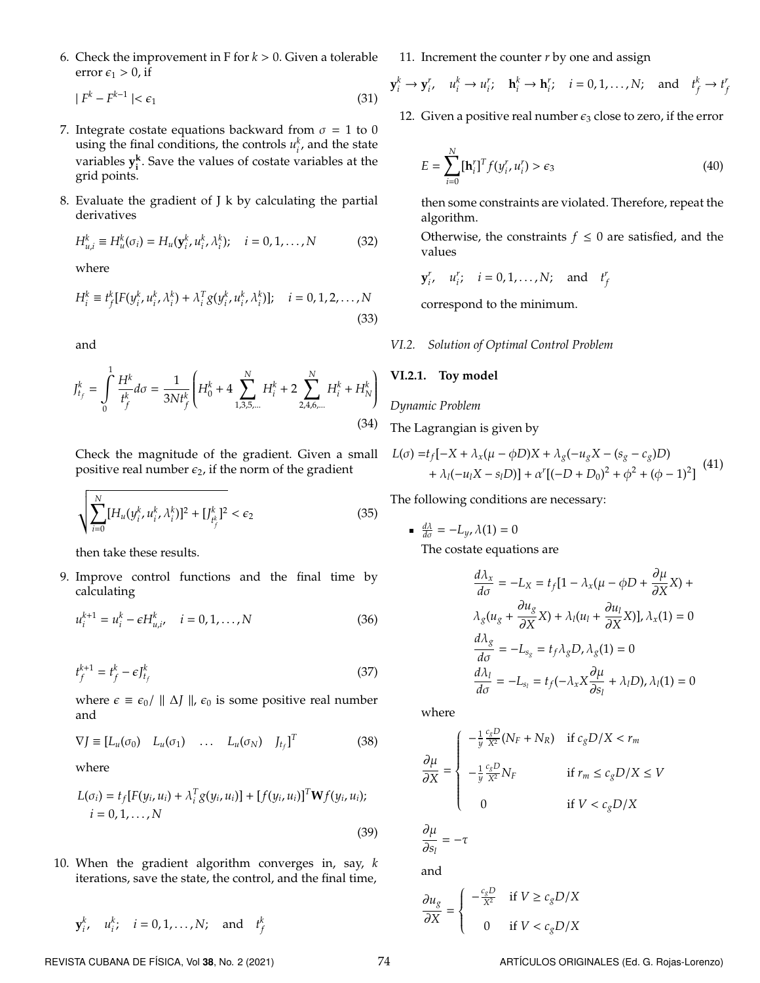6. Check the improvement in F for *k* > 0. Given a tolerable error  $\epsilon_1 > 0$ , if

$$
|F^k - F^{k-1}| < \epsilon_1 \tag{31}
$$

- 7. Integrate costate equations backward from  $\sigma = 1$  to 0 using the final conditions, the controls  $u_i^k$ , and the state variables **y k i** . Save the values of costate variables at the grid points.
- 8. Evaluate the gradient of J k by calculating the partial derivatives

$$
H_{u,i}^k \equiv H_u^k(\sigma_i) = H_u(\mathbf{y}_i^k, u_i^k, \lambda_i^k); \quad i = 0, 1, \dots, N
$$
 (32)

where

$$
H_i^k \equiv t_j^k [F(y_i^k, u_i^k, \lambda_i^k) + \lambda_i^T g(y_i^k, u_i^k, \lambda_i^k)]; \quad i = 0, 1, 2, \dots, N
$$
\n(33)

and

$$
J_{t_f}^k = \int_0^1 \frac{H^k}{t_f^k} d\sigma = \frac{1}{3N t_f^k} \left( H_0^k + 4 \sum_{1,3,5,\dots}^N H_i^k + 2 \sum_{2,4,6,\dots}^N H_i^k + H_N^k \right)
$$
(34)

Check the magnitude of the gradient. Given a small positive real number  $\epsilon_2$ , if the norm of the gradient

$$
\sqrt{\sum_{i=0}^{N} [H_u(y_i^k, u_i^k, \lambda_i^k)]^2 + [J_{t_f^k}^k]^2} < \epsilon_2 \tag{35}
$$

then take these results.

9. Improve control functions and the final time by calculating

$$
u_i^{k+1} = u_i^k - \epsilon H_{u,i}^k, \quad i = 0, 1, ..., N
$$
 (36)

$$
t_f^{k+1} = t_f^k - \epsilon J_{t_f}^k \tag{37}
$$

where  $\epsilon \equiv \epsilon_0 / || \Delta J ||$ ,  $\epsilon_0$  is some positive real number and

$$
\nabla J \equiv [L_u(\sigma_0) \quad L_u(\sigma_1) \quad \dots \quad L_u(\sigma_N) \quad J_{t_f}]^T \tag{38}
$$

where

$$
L(\sigma_i) = t_f[F(y_i, u_i) + \lambda_i^T g(y_i, u_i)] + [f(y_i, u_i)]^T \mathbf{W} f(y_i, u_i);
$$
  
\n
$$
i = 0, 1, ..., N
$$
\n(39)

10. When the gradient algorithm converges in, say, *k* iterations, save the state, the control, and the final time,

$$
\mathbf{y}_i^k, \quad u_i^k; \quad i = 0, 1, \dots, N; \quad \text{and} \quad t_f^k
$$

11. Increment the counter *r* by one and assign

$$
\mathbf{y}_i^k \to \mathbf{y}_i^r, \quad u_i^k \to u_i^r; \quad \mathbf{h}_i^k \to \mathbf{h}_i^r; \quad i = 0, 1, \dots, N; \quad \text{and} \quad t_f^k \to t_f^r
$$

12. Given a positive real number  $\epsilon_3$  close to zero, if the error

$$
E = \sum_{i=0}^{N} [\mathbf{h}_i^r]^T f(y_i^r, u_i^r) > \epsilon_3
$$
\n(40)

then some constraints are violated. Therefore, repeat the algorithm.

Otherwise, the constraints  $f \leq 0$  are satisfied, and the values

*y*<sup>*r*</sup>, *i i* = 0, 1, . . . , *N*; and *t*<sup>*r*</sup></sup>

correspond to the minimum.

# *VI.2. Solution of Optimal Control Problem*

## **VI.2.1. Toy model**

# *Dynamic Problem*

The Lagrangian is given by

$$
L(\sigma) = t_f[-X + \lambda_x(\mu - \phi D)X + \lambda_g(-u_g X - (s_g - c_g)D) + \lambda_l(-u_l X - s_l D)] + \alpha' [(-D + D_0)^2 + \phi^2 + (\phi - 1)^2]
$$
(41)

The following conditions are necessary:

■ 
$$
\frac{d\lambda}{d\sigma} = -L_y
$$
,  $\lambda(1) = 0$   
The costate equations are

$$
\frac{d\lambda_x}{d\sigma} = -L_X = t_f[1 - \lambda_x(\mu - \phi D + \frac{\partial \mu}{\partial X}X) +
$$

$$
\lambda_g(u_g + \frac{\partial u_g}{\partial X}X) + \lambda_l(u_l + \frac{\partial u_l}{\partial X}X)], \lambda_x(1) = 0
$$

$$
\frac{d\lambda_g}{d\sigma} = -L_{s_g} = t_f\lambda_g D, \lambda_g(1) = 0
$$

$$
\frac{d\lambda_l}{d\sigma} = -L_{s_l} = t_f(-\lambda_x X \frac{\partial \mu}{\partial s_l} + \lambda_l D), \lambda_l(1) = 0
$$

where

$$
\frac{\partial \mu}{\partial X} = \begin{cases}\n-\frac{1}{y} \frac{c_g D}{X^2} (N_F + N_R) & \text{if } c_g D/X < r_m \\
-\frac{1}{y} \frac{c_g D}{X^2} N_F & \text{if } r_m \le c_g D/X \le V \\
0 & \text{if } V < c_g D/X\n\end{cases}
$$

$$
\frac{\partial \mu}{\partial s_l} = -\tau
$$

and

$$
\frac{\partial u_g}{\partial X} = \left\{ \begin{array}{cl} -\frac{c_g D}{X^2} & \text{if $V \geq c_g D/X$} \\ & \\ 0 & \text{if $V < c_g D/X$} \end{array} \right.
$$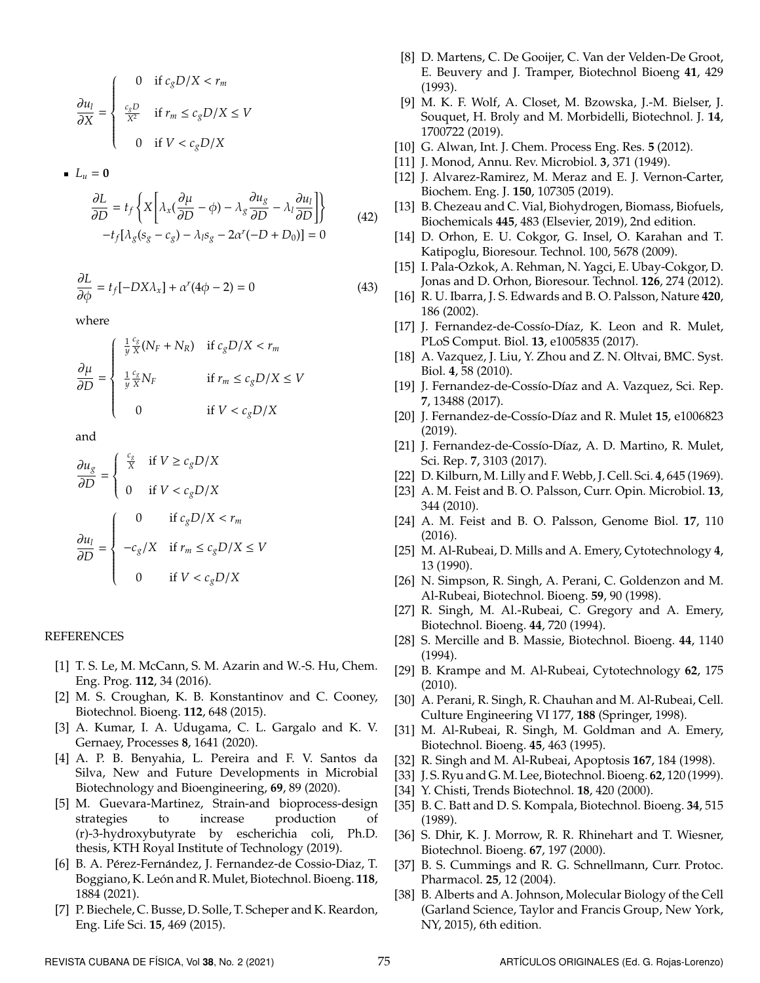$$
\frac{\partial u_l}{\partial X} = \begin{cases} 0 & \text{if } c_g D / X < r_m \\ \frac{c_g D}{X^2} & \text{if } r_m \le c_g D / X \le V \\ 0 & \text{if } V < c_g D / X \end{cases}
$$

$$
\blacksquare~L_u=0
$$

$$
\frac{\partial L}{\partial D} = t_f \left\{ X \left[ \lambda_x (\frac{\partial \mu}{\partial D} - \phi) - \lambda_g \frac{\partial u_g}{\partial D} - \lambda_l \frac{\partial u_l}{\partial D} \right] \right\}
$$
\n
$$
-t_f [\lambda_g (s_g - c_g) - \lambda_l s_g - 2\alpha' (-D + D_0)] = 0
$$
\n(42)

$$
\frac{\partial L}{\partial \phi} = t_f [-DX\lambda_x] + \alpha^r (4\phi - 2) = 0 \tag{43}
$$

where

$$
\frac{\partial \mu}{\partial D} = \begin{cases} \frac{1}{y} \frac{c_g}{X} (N_F + N_R) & \text{if } c_g D/X < r_m \\ \frac{1}{y} \frac{c_g}{X} N_F & \text{if } r_m \le c_g D/X \le V \\ 0 & \text{if } V < c_g D/X \end{cases}
$$

and

$$
\frac{\partial u_g}{\partial D} = \begin{cases} \frac{c_g}{X} & \text{if } V \ge c_g D/X\\ 0 & \text{if } V < c_g D/X \end{cases}
$$

$$
\frac{\partial u_l}{\partial D} = \begin{cases} 0 & \text{if } c_g D/X < r_m\\ -c_g/X & \text{if } r_m \le c_g D/X \le V\\ 0 & \text{if } V < c_g D/X \end{cases}
$$

## REFERENCES

- <span id="page-9-0"></span>[1] T. S. Le, M. McCann, S. M. Azarin and W.-S. Hu, Chem. Eng. Prog. **112**, 34 (2016).
- <span id="page-9-1"></span>[2] M. S. Croughan, K. B. Konstantinov and C. Cooney, Biotechnol. Bioeng. **112**, 648 (2015).
- <span id="page-9-2"></span>[3] A. Kumar, I. A. Udugama, C. L. Gargalo and K. V. Gernaey, Processes **8**, 1641 (2020).
- <span id="page-9-3"></span>[4] A. P. B. Benyahia, L. Pereira and F. V. Santos da Silva, New and Future Developments in Microbial Biotechnology and Bioengineering, **69**, 89 (2020).
- <span id="page-9-4"></span>[5] M. Guevara-Martinez, Strain-and bioprocess-design strategies to increase production of (r)-3-hydroxybutyrate by escherichia coli, Ph.D. thesis, KTH Royal Institute of Technology (2019).
- <span id="page-9-5"></span>[6] B. A. Pérez-Fernández, J. Fernandez-de Cossio-Diaz, T. Boggiano, K. León and R. Mulet, Biotechnol. Bioeng. 118, 1884 (2021).
- <span id="page-9-6"></span>[7] P. Biechele, C. Busse, D. Solle, T. Scheper and K. Reardon, Eng. Life Sci. **15**, 469 (2015).
- <span id="page-9-7"></span>[8] D. Martens, C. De Gooijer, C. Van der Velden-De Groot, E. Beuvery and J. Tramper, Biotechnol Bioeng **41**, 429 (1993).
- <span id="page-9-8"></span>[9] M. K. F. Wolf, A. Closet, M. Bzowska, J.-M. Bielser, J. Souquet, H. Broly and M. Morbidelli, Biotechnol. J. **14**, 1700722 (2019).
- <span id="page-9-9"></span>[10] G. Alwan, Int. J. Chem. Process Eng. Res. **5** (2012).
- <span id="page-9-10"></span>[11] J. Monod, Annu. Rev. Microbiol. **3**, 371 (1949).
- <span id="page-9-11"></span>[12] J. Alvarez-Ramirez, M. Meraz and E. J. Vernon-Carter, Biochem. Eng. J. **150**, 107305 (2019).
- <span id="page-9-12"></span>[13] B. Chezeau and C. Vial, Biohydrogen, Biomass, Biofuels, Biochemicals **445**, 483 (Elsevier, 2019), 2nd edition.
- <span id="page-9-13"></span>[14] D. Orhon, E. U. Cokgor, G. Insel, O. Karahan and T. Katipoglu, Bioresour. Technol. 100, 5678 (2009).
- <span id="page-9-14"></span>[15] I. Pala-Ozkok, A. Rehman, N. Yagci, E. Ubay-Cokgor, D. Jonas and D. Orhon, Bioresour. Technol. **126**, 274 (2012).
- <span id="page-9-15"></span>[16] R. U. Ibarra, J. S. Edwards and B. O. Palsson, Nature **420**, 186 (2002).
- <span id="page-9-16"></span>[17] J. Fernandez-de-Cossío-Díaz, K. Leon and R. Mulet, PLoS Comput. Biol. **13**, e1005835 (2017).
- <span id="page-9-17"></span>[18] A. Vazquez, J. Liu, Y. Zhou and Z. N. Oltvai, BMC. Syst. Biol. **4**, 58 (2010).
- <span id="page-9-18"></span>[19] J. Fernandez-de-Cossío-Díaz and A. Vazquez, Sci. Rep. **7**, 13488 (2017).
- <span id="page-9-19"></span>[20] J. Fernandez-de-Cossío-Díaz and R. Mulet 15, e1006823 (2019).
- <span id="page-9-20"></span>[21] J. Fernandez-de-Cossío-Díaz, A. D. Martino, R. Mulet, Sci. Rep. **7**, 3103 (2017).
- <span id="page-9-21"></span>[22] D. Kilburn, M. Lilly and F. Webb, J. Cell. Sci. **4**, 645 (1969).
- <span id="page-9-22"></span>[23] A. M. Feist and B. O. Palsson, Curr. Opin. Microbiol. **13**, 344 (2010).
- <span id="page-9-23"></span>[24] A. M. Feist and B. O. Palsson, Genome Biol. **17**, 110 (2016).
- <span id="page-9-24"></span>[25] M. Al-Rubeai, D. Mills and A. Emery, Cytotechnology **4**, 13 (1990).
- <span id="page-9-25"></span>[26] N. Simpson, R. Singh, A. Perani, C. Goldenzon and M. Al-Rubeai, Biotechnol. Bioeng. **59**, 90 (1998).
- [27] R. Singh, M. Al.-Rubeai, C. Gregory and A. Emery, Biotechnol. Bioeng. **44**, 720 (1994).
- <span id="page-9-26"></span>[28] S. Mercille and B. Massie, Biotechnol. Bioeng. **44**, 1140 (1994).
- <span id="page-9-27"></span>[29] B. Krampe and M. Al-Rubeai, Cytotechnology **62**, 175 (2010).
- [30] A. Perani, R. Singh, R. Chauhan and M. Al-Rubeai, Cell. Culture Engineering VI 177, **188** (Springer, 1998).
- <span id="page-9-29"></span>[31] M. Al-Rubeai, R. Singh, M. Goldman and A. Emery, Biotechnol. Bioeng. **45**, 463 (1995).
- [32] R. Singh and M. Al-Rubeai, Apoptosis **167**, 184 (1998).
- <span id="page-9-28"></span>[33] J. S. Ryu and G.M. Lee, Biotechnol. Bioeng. **62**, 120 (1999).
- <span id="page-9-30"></span>[34] Y. Chisti, Trends Biotechnol. **18**, 420 (2000).
- <span id="page-9-31"></span>[35] B. C. Batt and D. S. Kompala, Biotechnol. Bioeng. **34**, 515 (1989).
- <span id="page-9-34"></span>[36] S. Dhir, K. J. Morrow, R. R. Rhinehart and T. Wiesner, Biotechnol. Bioeng. **67**, 197 (2000).
- <span id="page-9-32"></span>[37] B. S. Cummings and R. G. Schnellmann, Curr. Protoc. Pharmacol. **25**, 12 (2004).
- <span id="page-9-33"></span>[38] B. Alberts and A. Johnson, Molecular Biology of the Cell (Garland Science, Taylor and Francis Group, New York, NY, 2015), 6th edition.